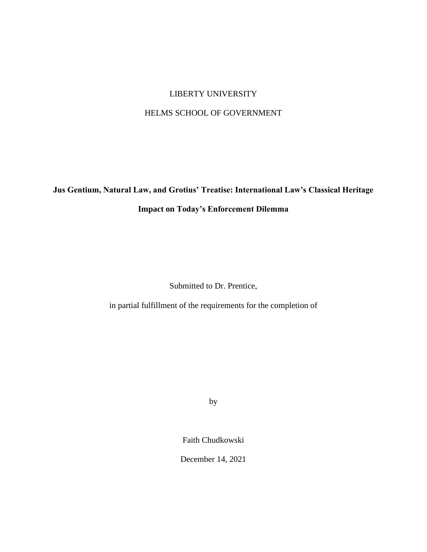## LIBERTY UNIVERSITY

## HELMS SCHOOL OF GOVERNMENT

**Jus Gentium, Natural Law, and Grotius' Treatise: International Law's Classical Heritage Impact on Today's Enforcement Dilemma**

Submitted to Dr. Prentice,

in partial fulfillment of the requirements for the completion of

by

Faith Chudkowski

December 14, 2021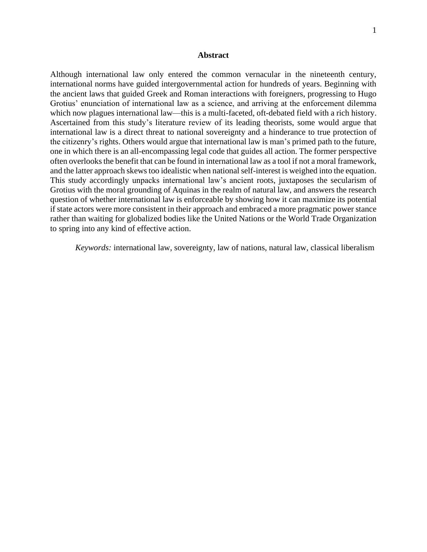## **Abstract**

Although international law only entered the common vernacular in the nineteenth century, international norms have guided intergovernmental action for hundreds of years. Beginning with the ancient laws that guided Greek and Roman interactions with foreigners, progressing to Hugo Grotius' enunciation of international law as a science, and arriving at the enforcement dilemma which now plagues international law—this is a multi-faceted, oft-debated field with a rich history. Ascertained from this study's literature review of its leading theorists, some would argue that international law is a direct threat to national sovereignty and a hinderance to true protection of the citizenry's rights. Others would argue that international law is man's primed path to the future, one in which there is an all-encompassing legal code that guides all action. The former perspective often overlooks the benefit that can be found in international law as a tool if not a moral framework, and the latter approach skewstoo idealistic when national self-interest is weighed into the equation. This study accordingly unpacks international law's ancient roots, juxtaposes the secularism of Grotius with the moral grounding of Aquinas in the realm of natural law, and answers the research question of whether international law is enforceable by showing how it can maximize its potential if state actors were more consistent in their approach and embraced a more pragmatic power stance rather than waiting for globalized bodies like the United Nations or the World Trade Organization to spring into any kind of effective action.

*Keywords:* international law, sovereignty, law of nations, natural law, classical liberalism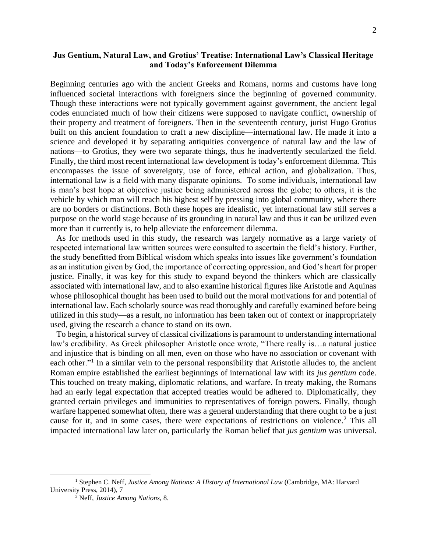## **Jus Gentium, Natural Law, and Grotius' Treatise: International Law's Classical Heritage and Today's Enforcement Dilemma**

Beginning centuries ago with the ancient Greeks and Romans, norms and customs have long influenced societal interactions with foreigners since the beginning of governed community. Though these interactions were not typically government against government, the ancient legal codes enunciated much of how their citizens were supposed to navigate conflict, ownership of their property and treatment of foreigners. Then in the seventeenth century, jurist Hugo Grotius built on this ancient foundation to craft a new discipline—international law. He made it into a science and developed it by separating antiquities convergence of natural law and the law of nations—to Grotius, they were two separate things, thus he inadvertently secularized the field. Finally, the third most recent international law development is today's enforcement dilemma. This encompasses the issue of sovereignty, use of force, ethical action, and globalization. Thus, international law is a field with many disparate opinions. To some individuals, international law is man's best hope at objective justice being administered across the globe; to others, it is the vehicle by which man will reach his highest self by pressing into global community, where there are no borders or distinctions. Both these hopes are idealistic, yet international law still serves a purpose on the world stage because of its grounding in natural law and thus it can be utilized even more than it currently is, to help alleviate the enforcement dilemma.

As for methods used in this study, the research was largely normative as a large variety of respected international law written sources were consulted to ascertain the field's history. Further, the study benefitted from Biblical wisdom which speaks into issues like government's foundation as an institution given by God, the importance of correcting oppression, and God's heart for proper justice. Finally, it was key for this study to expand beyond the thinkers which are classically associated with international law, and to also examine historical figures like Aristotle and Aquinas whose philosophical thought has been used to build out the moral motivations for and potential of international law. Each scholarly source was read thoroughly and carefully examined before being utilized in this study—as a result, no information has been taken out of context or inappropriately used, giving the research a chance to stand on its own.

 To begin, a historical survey of classical civilizations is paramount to understanding international law's credibility. As Greek philosopher Aristotle once wrote, "There really is…a natural justice and injustice that is binding on all men, even on those who have no association or covenant with each other."<sup>1</sup> In a similar vein to the personal responsibility that Aristotle alludes to, the ancient Roman empire established the earliest beginnings of international law with its *jus gentium* code. This touched on treaty making, diplomatic relations, and warfare. In treaty making, the Romans had an early legal expectation that accepted treaties would be adhered to. Diplomatically, they granted certain privileges and immunities to representatives of foreign powers. Finally, though warfare happened somewhat often, there was a general understanding that there ought to be a just cause for it, and in some cases, there were expectations of restrictions on violence.<sup>2</sup> This all impacted international law later on, particularly the Roman belief that *jus gentium* was universal.

<sup>1</sup> Stephen C. Neff, *Justice Among Nations: A History of International Law* (Cambridge, MA: Harvard University Press, 2014), 7

<sup>2</sup> Neff, *Justice Among Nations,* 8.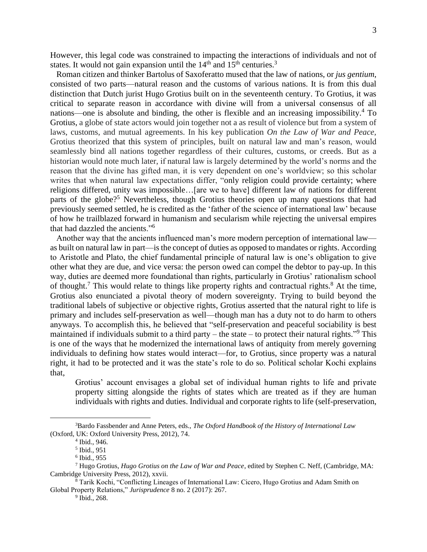However, this legal code was constrained to impacting the interactions of individuals and not of states. It would not gain expansion until the  $14<sup>th</sup>$  and  $15<sup>th</sup>$  centuries.<sup>3</sup>

 Roman citizen and thinker Bartolus of Saxoferatto mused that the law of nations, or *jus gentium*, consisted of two parts—natural reason and the customs of various nations. It is from this dual distinction that Dutch jurist Hugo Grotius built on in the seventeenth century. To Grotius, it was critical to separate reason in accordance with divine will from a universal consensus of all nations—one is absolute and binding, the other is flexible and an increasing impossibility.<sup>4</sup> To Grotius, a globe of state actors would join together not a as result of violence but from a system of laws, customs, and mutual agreements. In his key publication *On the Law of War and Peace,*  Grotius theorized that this system of principles, built on natural law and man's reason, would seamlessly bind all nations together regardless of their cultures, customs, or creeds. But as a historian would note much later, if natural law is largely determined by the world's norms and the reason that the divine has gifted man, it is very dependent on one's worldview; so this scholar writes that when natural law expectations differ, "only religion could provide certainty; where religions differed, unity was impossible…[are we to have] different law of nations for different parts of the globe?<sup>5</sup> Nevertheless, though Grotius theories open up many questions that had previously seemed settled, he is credited as the 'father of the science of international law' because of how he trailblazed forward in humanism and secularism while rejecting the universal empires that had dazzled the ancients."<sup>6</sup>

 Another way that the ancients influenced man's more modern perception of international law as built on natural law in part—is the concept of duties as opposed to mandates or rights. According to Aristotle and Plato, the chief fundamental principle of natural law is one's obligation to give other what they are due, and vice versa: the person owed can compel the debtor to pay-up. In this way, duties are deemed more foundational than rights, particularly in Grotius' rationalism school of thought.<sup>7</sup> This would relate to things like property rights and contractual rights.<sup>8</sup> At the time, Grotius also enunciated a pivotal theory of modern sovereignty. Trying to build beyond the traditional labels of subjective or objective rights, Grotius asserted that the natural right to life is primary and includes self-preservation as well—though man has a duty not to do harm to others anyways. To accomplish this, he believed that "self-preservation and peaceful sociability is best maintained if individuals submit to a third party – the state – to protect their natural rights."<sup>9</sup> This is one of the ways that he modernized the international laws of antiquity from merely governing individuals to defining how states would interact—for, to Grotius, since property was a natural right, it had to be protected and it was the state's role to do so. Political scholar Kochi explains that,

Grotius' account envisages a global set of individual human rights to life and private property sitting alongside the rights of states which are treated as if they are human individuals with rights and duties. Individual and corporate rights to life (self-preservation,

9 Ibid., 268.

<sup>3</sup>Bardo Fassbender and Anne Peters, eds., *The Oxford Handbook of the History of International Law* (Oxford, UK: Oxford University Press, 2012), 74.

<sup>4</sup> Ibid., 946.

<sup>5</sup> Ibid., 951

<sup>6</sup> Ibid., 955

<sup>7</sup> Hugo Grotius, *Hugo Grotius on the Law of War and Peace*, edited by Stephen C. Neff, (Cambridge, MA: Cambridge University Press, 2012), xxvii.

<sup>8</sup> Tarik Kochi, "Conflicting Lineages of International Law: Cicero, Hugo Grotius and Adam Smith on Global Property Relations," *Jurisprudence* 8 no. 2 (2017): 267.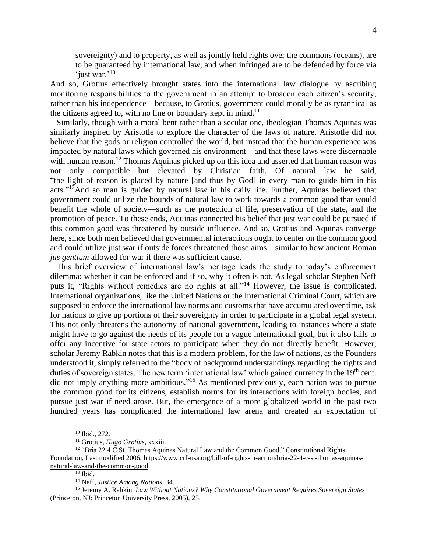sovereignty) and to property, as well as jointly held rights over the commons (oceans), are to be guaranteed by international law, and when infringed are to be defended by force via 'just war.'<sup>10</sup>

And so, Grotius effectively brought states into the international law dialogue by ascribing monitoring responsibilities to the government in an attempt to broaden each citizen's security, rather than his independence—because, to Grotius, government could morally be as tyrannical as the citizens agreed to, with no line or boundary kept in mind.<sup>11</sup>

 Similarly, though with a moral bent rather than a secular one, theologian Thomas Aquinas was similarly inspired by Aristotle to explore the character of the laws of nature. Aristotle did not believe that the gods or religion controlled the world, but instead that the human experience was impacted by natural laws which governed his environment—and that these laws were discernable with human reason.<sup>12</sup> Thomas Aquinas picked up on this idea and asserted that human reason was not only compatible but elevated by Christian faith. Of natural law he said, "the light of reason is placed by nature [and thus by God] in every man to guide him in his acts."<sup>13</sup>And so man is guided by natural law in his daily life. Further, Aquinas believed that government could utilize the bounds of natural law to work towards a common good that would benefit the whole of society—such as the protection of life, preservation of the state, and the promotion of peace. To these ends, Aquinas connected his belief that just war could be pursued if this common good was threatened by outside influence. And so, Grotius and Aquinas converge here, since both men believed that governmental interactions ought to center on the common good and could utilize just war if outside forces threatened those aims—similar to how ancient Roman *jus gentium* allowed for war if there was sufficient cause.

 This brief overview of international law's heritage leads the study to today's enforcement dilemma: whether it can be enforced and if so, why it often is not. As legal scholar Stephen Neff puts it, "Rights without remedies are no rights at all."<sup>14</sup> However, the issue is complicated. International organizations, like the United Nations or the International Criminal Court, which are supposed to enforce the international law norms and customs that have accumulated over time, ask for nations to give up portions of their sovereignty in order to participate in a global legal system. This not only threatens the autonomy of national government, leading to instances where a state might have to go against the needs of its people for a vague international goal, but it also fails to offer any incentive for state actors to participate when they do not directly benefit. However, scholar Jeremy Rabkin notes that this is a modern problem, for the law of nations, as the Founders understood it, simply referred to the "body of background understandings regarding the rights and duties of sovereign states. The new term 'international law' which gained currency in the 19<sup>th</sup> cent. did not imply anything more ambitious."<sup>15</sup> As mentioned previously, each nation was to pursue the common good for its citizens, establish norms for its interactions with foreign bodies, and pursue just war if need arose. But, the emergence of a more globalized world in the past two hundred years has complicated the international law arena and created an expectation of

<sup>10</sup> Ibid., 272.

<sup>11</sup> Grotius, *Hugo Grotius,* xxxiii.

<sup>&</sup>lt;sup>12</sup> "Bria 22 4  $\tilde{C}$  St. Thomas Aquinas Natural Law and the Common Good," Constitutional Rights Foundation, Last modified 2006, [https://www.crf-usa.org/bill-of-rights-in-action/bria-22-4-c-st-thomas-aquinas](https://www.crf-usa.org/bill-of-rights-in-action/bria-22-4-c-st-thomas-aquinas-natural-law-and-the-common-good)[natural-law-and-the-common-good.](https://www.crf-usa.org/bill-of-rights-in-action/bria-22-4-c-st-thomas-aquinas-natural-law-and-the-common-good)

 $13$  Ibid.

<sup>14</sup> Neff, *Justice Among Nations,* 34.

<sup>&</sup>lt;sup>15</sup> Jeremy A. Rabkin, *Law Without Nations? Why Constitutional Government Requires Sovereign States* (Princeton, NJ: Princeton University Press, 2005), 25.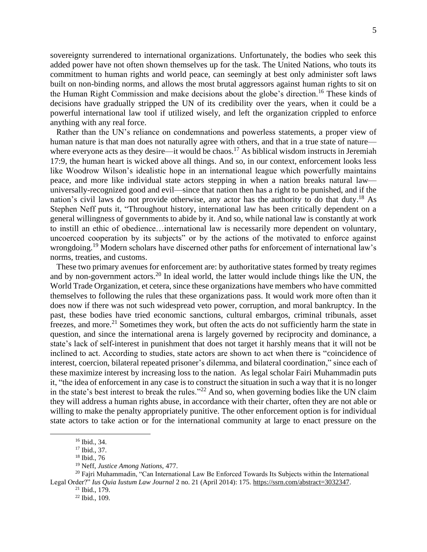sovereignty surrendered to international organizations. Unfortunately, the bodies who seek this added power have not often shown themselves up for the task. The United Nations, who touts its commitment to human rights and world peace, can seemingly at best only administer soft laws built on non-binding norms, and allows the most brutal aggressors against human rights to sit on the Human Right Commission and make decisions about the globe's direction.<sup>16</sup> These kinds of decisions have gradually stripped the UN of its credibility over the years, when it could be a powerful international law tool if utilized wisely, and left the organization crippled to enforce anything with any real force.

 Rather than the UN's reliance on condemnations and powerless statements, a proper view of human nature is that man does not naturally agree with others, and that in a true state of nature where everyone acts as they desire—it would be chaos.<sup>17</sup> As biblical wisdom instructs in Jeremiah 17:9, the human heart is wicked above all things. And so, in our context, enforcement looks less like Woodrow Wilson's idealistic hope in an international league which powerfully maintains peace, and more like individual state actors stepping in when a nation breaks natural law universally-recognized good and evil—since that nation then has a right to be punished, and if the nation's civil laws do not provide otherwise, any actor has the authority to do that duty.<sup>18</sup> As Stephen Neff puts it, "Throughout history, international law has been critically dependent on a general willingness of governments to abide by it. And so, while national law is constantly at work to instill an ethic of obedience…international law is necessarily more dependent on voluntary, uncoerced cooperation by its subjects" or by the actions of the motivated to enforce against wrongdoing.<sup>19</sup> Modern scholars have discerned other paths for enforcement of international law's norms, treaties, and customs.

 These two primary avenues for enforcement are: by authoritative states formed by treaty regimes and by non-government actors.<sup>20</sup> In ideal world, the latter would include things like the UN, the World Trade Organization, et cetera, since these organizations have members who have committed themselves to following the rules that these organizations pass. It would work more often than it does now if there was not such widespread veto power, corruption, and moral bankruptcy. In the past, these bodies have tried economic sanctions, cultural embargos, criminal tribunals, asset freezes, and more.<sup>21</sup> Sometimes they work, but often the acts do not sufficiently harm the state in question, and since the international arena is largely governed by reciprocity and dominance, a state's lack of self-interest in punishment that does not target it harshly means that it will not be inclined to act. According to studies, state actors are shown to act when there is "coincidence of interest, coercion, bilateral repeated prisoner's dilemma, and bilateral coordination," since each of these maximize interest by increasing loss to the nation. As legal scholar Fairi Muhammadin puts it, "the idea of enforcement in any case is to construct the situation in such a way that it is no longer in the state's best interest to break the rules."<sup>22</sup> And so, when governing bodies like the UN claim they will address a human rights abuse, in accordance with their charter, often they are not able or willing to make the penalty appropriately punitive. The other enforcement option is for individual state actors to take action or for the international community at large to enact pressure on the

<sup>16</sup> Ibid., 34.

<sup>&</sup>lt;sup>17</sup> Ibid., 37.

<sup>18</sup> Ibid., 76

<sup>19</sup> Neff, *Justice Among Nations,* 477.

 $20$  Fairi Muhammadin, "Can International Law Be Enforced Towards Its Subjects within the International Legal Order?" *Ius Quia Iustum Law Journal* 2 no. 21 (April 2014): 175. [https://ssrn.com/abstract=3032347.](https://ssrn.com/abstract=3032347)

 $21$  Ibid., 179.

<sup>22</sup> Ibid., 109.